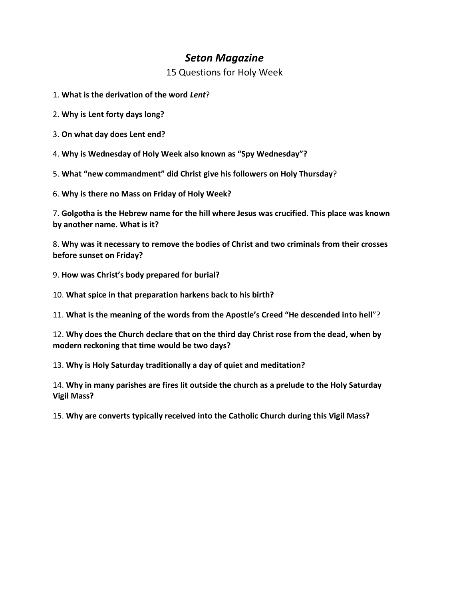# *Seton Magazine*

15 Questions for Holy Week

- 1. **What is the derivation of the word** *Lent*?
- 2. **Why is Lent forty days long?**
- 3. **On what day does Lent end?**
- 4. **Why is Wednesday of Holy Week also known as "Spy Wednesday"?**
- 5. **What "new commandment" did Christ give his followers on Holy Thursday**?
- 6. **Why is there no Mass on Friday of Holy Week?**

7. **Golgotha is the Hebrew name for the hill where Jesus was crucified. This place was known by another name. What is it?** 

8. **Why was it necessary to remove the bodies of Christ and two criminals from their crosses before sunset on Friday?** 

- 9. **How was Christ's body prepared for burial?**
- 10. **What spice in that preparation harkens back to his birth?**
- 11. **What is the meaning of the words from the Apostle's Creed "He descended into hell**"?
- 12. **Why does the Church declare that on the third day Christ rose from the dead, when by modern reckoning that time would be two days?**
- 13. **Why is Holy Saturday traditionally a day of quiet and meditation?**
- 14. **Why in many parishes are fires lit outside the church as a prelude to the Holy Saturday Vigil Mass?**
- 15. **Why are converts typically received into the Catholic Church during this Vigil Mass?**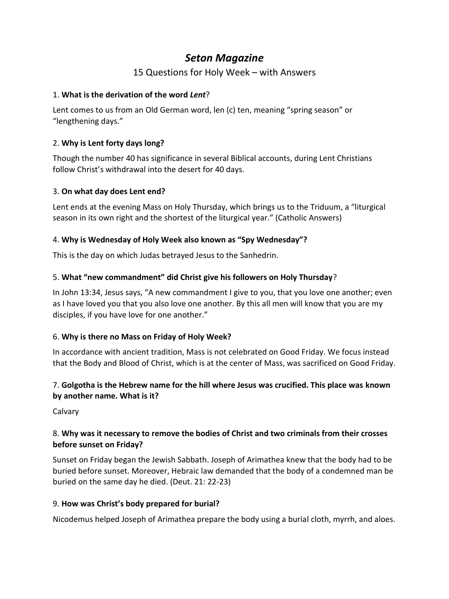# *Seton Magazine*

# 15 Questions for Holy Week – with Answers

# 1. **What is the derivation of the word** *Lent*?

Lent comes to us from an Old German word, len (c) ten, meaning "spring season" or "lengthening days."

# 2. **Why is Lent forty days long?**

Though the number 40 has significance in several Biblical accounts, during Lent Christians follow Christ's withdrawal into the desert for 40 days.

# 3. **On what day does Lent end?**

Lent ends at the evening Mass on Holy Thursday, which brings us to the Triduum, a "liturgical season in its own right and the shortest of the liturgical year." (Catholic Answers)

# 4. **Why is Wednesday of Holy Week also known as "Spy Wednesday"?**

This is the day on which Judas betrayed Jesus to the Sanhedrin.

# 5. **What "new commandment" did Christ give his followers on Holy Thursday**?

In John 13:34, Jesus says, "A new commandment I give to you, that you love one another; even as I have loved you that you also love one another. By this all men will know that you are my disciples, if you have love for one another."

#### 6. **Why is there no Mass on Friday of Holy Week?**

In accordance with ancient tradition, Mass is not celebrated on Good Friday. We focus instead that the Body and Blood of Christ, which is at the center of Mass, was sacrificed on Good Friday.

# 7. **Golgotha is the Hebrew name for the hill where Jesus was crucified. This place was known by another name. What is it?**

Calvary

# 8. **Why was it necessary to remove the bodies of Christ and two criminals from their crosses before sunset on Friday?**

Sunset on Friday began the Jewish Sabbath. Joseph of Arimathea knew that the body had to be buried before sunset. Moreover, Hebraic law demanded that the body of a condemned man be buried on the same day he died. (Deut. 21: 22-23)

#### 9. **How was Christ's body prepared for burial?**

Nicodemus helped Joseph of Arimathea prepare the body using a burial cloth, myrrh, and aloes.